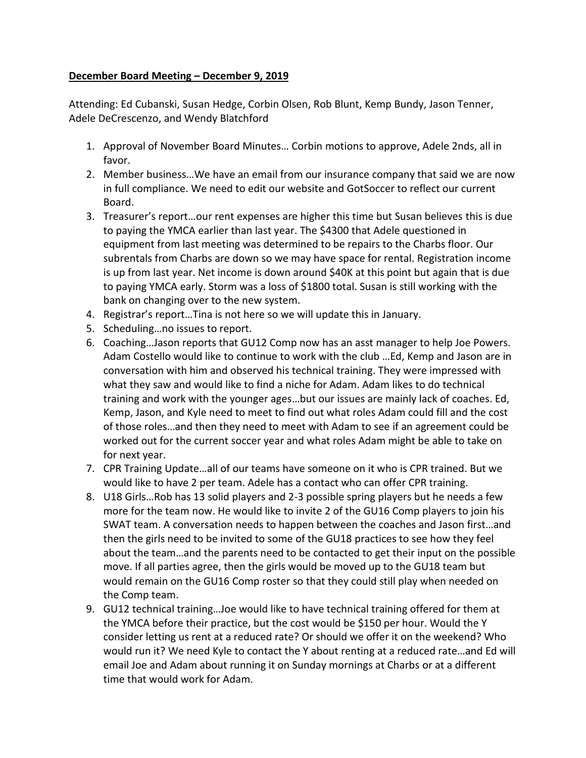## **December Board Meeting – December 9, 2019**

Attending: Ed Cubanski, Susan Hedge, Corbin Olsen, Rob Blunt, Kemp Bundy, Jason Tenner, Adele DeCrescenzo, and Wendy Blatchford

- 1. Approval of November Board Minutes… Corbin motions to approve, Adele 2nds, all in favor.
- 2. Member business…We have an email from our insurance company that said we are now in full compliance. We need to edit our website and GotSoccer to reflect our current Board.
- 3. Treasurer's report…our rent expenses are higher this time but Susan believes this is due to paying the YMCA earlier than last year. The \$4300 that Adele questioned in equipment from last meeting was determined to be repairs to the Charbs floor. Our subrentals from Charbs are down so we may have space for rental. Registration income is up from last year. Net income is down around \$40K at this point but again that is due to paying YMCA early. Storm was a loss of \$1800 total. Susan is still working with the bank on changing over to the new system.
- 4. Registrar's report…Tina is not here so we will update this in January.
- 5. Scheduling…no issues to report.
- 6. Coaching…Jason reports that GU12 Comp now has an asst manager to help Joe Powers. Adam Costello would like to continue to work with the club …Ed, Kemp and Jason are in conversation with him and observed his technical training. They were impressed with what they saw and would like to find a niche for Adam. Adam likes to do technical training and work with the younger ages…but our issues are mainly lack of coaches. Ed, Kemp, Jason, and Kyle need to meet to find out what roles Adam could fill and the cost of those roles…and then they need to meet with Adam to see if an agreement could be worked out for the current soccer year and what roles Adam might be able to take on for next year.
- 7. CPR Training Update…all of our teams have someone on it who is CPR trained. But we would like to have 2 per team. Adele has a contact who can offer CPR training.
- 8. U18 Girls…Rob has 13 solid players and 2-3 possible spring players but he needs a few more for the team now. He would like to invite 2 of the GU16 Comp players to join his SWAT team. A conversation needs to happen between the coaches and Jason first…and then the girls need to be invited to some of the GU18 practices to see how they feel about the team…and the parents need to be contacted to get their input on the possible move. If all parties agree, then the girls would be moved up to the GU18 team but would remain on the GU16 Comp roster so that they could still play when needed on the Comp team.
- 9. GU12 technical training…Joe would like to have technical training offered for them at the YMCA before their practice, but the cost would be \$150 per hour. Would the Y consider letting us rent at a reduced rate? Or should we offer it on the weekend? Who would run it? We need Kyle to contact the Y about renting at a reduced rate…and Ed will email Joe and Adam about running it on Sunday mornings at Charbs or at a different time that would work for Adam.